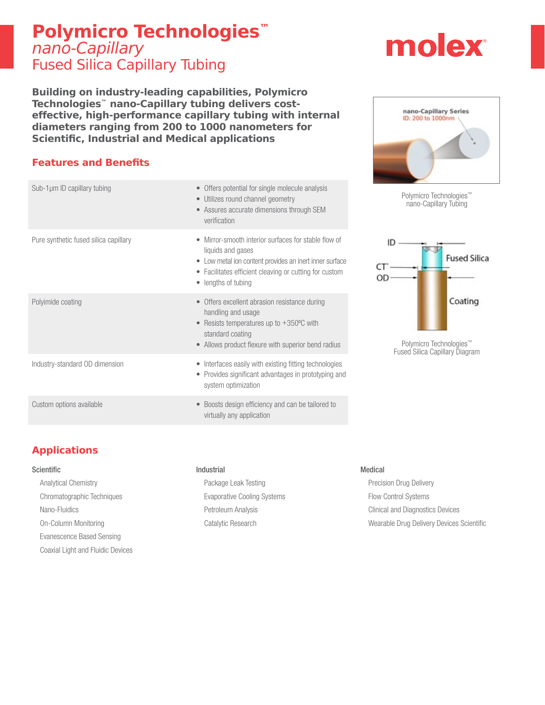# **Polymicro Technologies™** nano-Capillary Fused Silica Capillary Tubing

**Building on industry-leading capabilities, Polymicro Technologies™ nano-Capillary tubing delivers costeffective, high-performance capillary tubing with internal diameters ranging from 200 to 1000 nanometers for Scientific, Industrial and Medical applications**

## **Features and Benefits**

| Sub-1 $\mu$ m ID capillary tubing     | • Offers potential for single molecule analysis<br>• Utilizes round channel geometry<br>• Assures accurate dimensions through SEM<br>verification                                                                   |
|---------------------------------------|---------------------------------------------------------------------------------------------------------------------------------------------------------------------------------------------------------------------|
| Pure synthetic fused silica capillary | Mirror-smooth interior surfaces for stable flow of<br>liquids and gases<br>• Low metal ion content provides an inert inner surface<br>• Facilitates efficient cleaving or cutting for custom<br>• lengths of tubing |
| Polyimide coating                     | • Offers excellent abrasion resistance during<br>handling and usage<br>• Resists temperatures up to $+350^{\circ}$ C with<br>standard coating<br>Allows product flexure with superior bend radius                   |
| Industry-standard OD dimension        | Interfaces easily with existing fitting technologies<br>Provides significant advantages in prototyping and<br>$\bullet$<br>system optimization                                                                      |
| Custom options available              | Boosts design efficiency and can be tailored to<br>$\bullet$<br>virtually any application                                                                                                                           |

# nano-Capillary Series ID: 200 to 1000nm







# **Applications**

#### **Scientific**

Analytical Chemistry Chromatographic Techniques Nano-Fluidics On-Column Monitoring Evanescence Based Sensing Coaxial Light and Fluidic Devices

## Industrial

Package Leak Testing Evaporative Cooling Systems Petroleum Analysis Catalytic Research

#### Medical

Precision Drug Delivery Flow Control Systems Clinical and Diagnostics Devices Wearable Drug Delivery Devices Scientific